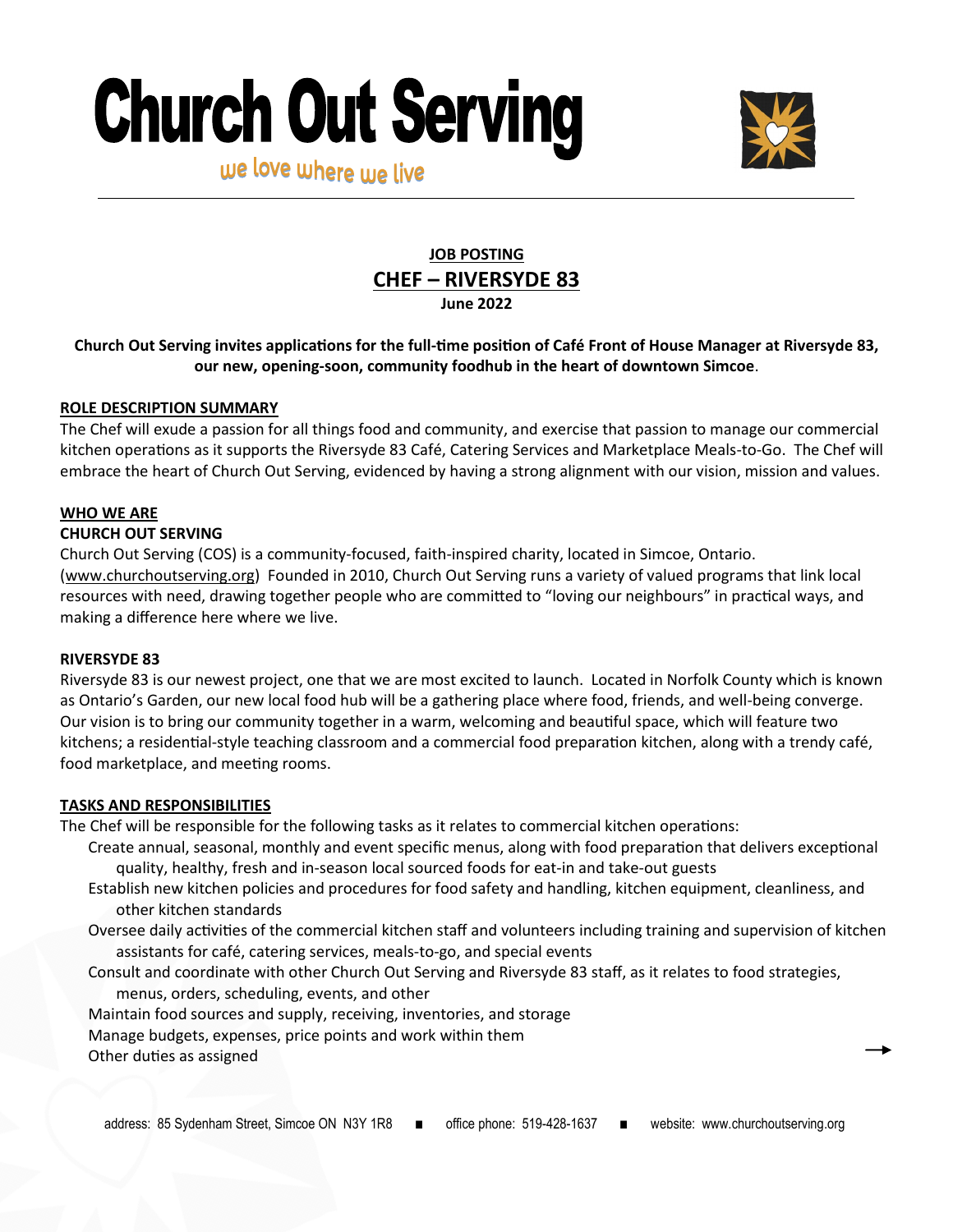# **Church Out Serving**



we love where we live

# **JOB POSTING CHEF – RIVERSYDE 83 June 2022**

## **Church Out Serving invites applications for the full-time position of Café Front of House Manager at Riversyde 83, our new, opening-soon, community foodhub in the heart of downtown Simcoe**.

#### **ROLE DESCRIPTION SUMMARY**

The Chef will exude a passion for all things food and community, and exercise that passion to manage our commercial kitchen operations as it supports the Riversyde 83 Café, Catering Services and Marketplace Meals-to-Go. The Chef will embrace the heart of Church Out Serving, evidenced by having a strong alignment with our vision, mission and values.

## **WHO WE ARE**

#### **CHURCH OUT SERVING**

Church Out Serving (COS) is a community-focused, faith-inspired charity, located in Simcoe, Ontario. ([www.churchoutserving.org\)](http://www.churchoutserving.org) Founded in 2010, Church Out Serving runs a variety of valued programs that link local resources with need, drawing together people who are committed to "loving our neighbours" in practical ways, and making a difference here where we live.

#### **RIVERSYDE 83**

Riversyde 83 is our newest project, one that we are most excited to launch. Located in Norfolk County which is known as Ontario's Garden, our new local food hub will be a gathering place where food, friends, and well-being converge. Our vision is to bring our community together in a warm, welcoming and beautiful space, which will feature two kitchens; a residential-style teaching classroom and a commercial food preparation kitchen, along with a trendy café, food marketplace, and meeting rooms.

#### **TASKS AND RESPONSIBILITIES**

The Chef will be responsible for the following tasks as it relates to commercial kitchen operations:

- Create annual, seasonal, monthly and event specific menus, along with food preparation that delivers exceptional quality, healthy, fresh and in-season local sourced foods for eat-in and take-out guests
- Establish new kitchen policies and procedures for food safety and handling, kitchen equipment, cleanliness, and other kitchen standards
- Oversee daily activities of the commercial kitchen staff and volunteers including training and supervision of kitchen assistants for café, catering services, meals-to-go, and special events
- Consult and coordinate with other Church Out Serving and Riversyde 83 staff, as it relates to food strategies, menus, orders, scheduling, events, and other

Maintain food sources and supply, receiving, inventories, and storage

Manage budgets, expenses, price points and work within them

Other duties as assigned